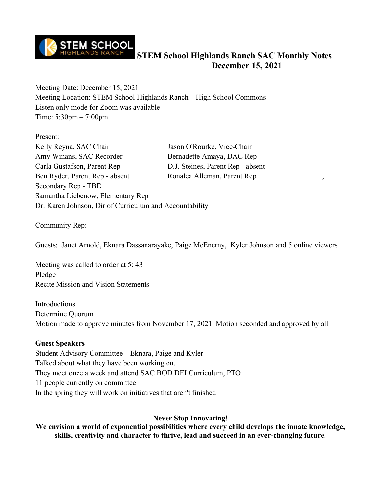

Meeting Date: December 15, 2021 Meeting Location: STEM School Highlands Ranch – High School Commons Listen only mode for Zoom was available Time: 5:30pm – 7:00pm

Present: Kelly Reyna, SAC Chair Jason O'Rourke, Vice-Chair Amy Winans, SAC Recorder Bernadette Amaya, DAC Rep Carla Gustafson, Parent Rep D.J. Steines, Parent Rep - absent Ben Ryder, Parent Rep - absent Ronalea Alleman, Parent Rep Secondary Rep - TBD Samantha Liebenow, Elementary Rep Dr. Karen Johnson, Dir of Curriculum and Accountability

Community Rep:

Guests: Janet Arnold, Eknara Dassanarayake, Paige McEnerny, Kyler Johnson and 5 online viewers

Meeting was called to order at 5: 43 Pledge Recite Mission and Vision Statements

Introductions Determine Quorum Motion made to approve minutes from November 17, 2021 Motion seconded and approved by all

#### **Guest Speakers**

Student Advisory Committee – Eknara, Paige and Kyler Talked about what they have been working on. They meet once a week and attend SAC BOD DEI Curriculum, PTO 11 people currently on committee In the spring they will work on initiatives that aren't finished

#### **Never Stop Innovating!**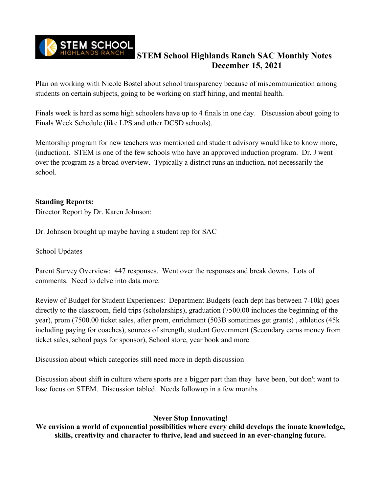

Plan on working with Nicole Bostel about school transparency because of miscommunication among students on certain subjects, going to be working on staff hiring, and mental health.

Finals week is hard as some high schoolers have up to 4 finals in one day. Discussion about going to Finals Week Schedule (like LPS and other DCSD schools).

Mentorship program for new teachers was mentioned and student advisory would like to know more, (induction). STEM is one of the few schools who have an approved induction program. Dr. J went over the program as a broad overview. Typically a district runs an induction, not necessarily the school.

#### **Standing Reports:**

Director Report by Dr. Karen Johnson:

Dr. Johnson brought up maybe having a student rep for SAC

School Updates

Parent Survey Overview: 447 responses. Went over the responses and break downs. Lots of comments. Need to delve into data more.

Review of Budget for Student Experiences: Department Budgets (each dept has between 7-10k) goes directly to the classroom, field trips (scholarships), graduation (7500.00 includes the beginning of the year), prom (7500.00 ticket sales, after prom, enrichment (503B sometimes get grants) , athletics (45k including paying for coaches), sources of strength, student Government (Secondary earns money from ticket sales, school pays for sponsor), School store, year book and more

Discussion about which categories still need more in depth discussion

Discussion about shift in culture where sports are a bigger part than they have been, but don't want to lose focus on STEM. Discussion tabled. Needs followup in a few months

### **Never Stop Innovating!**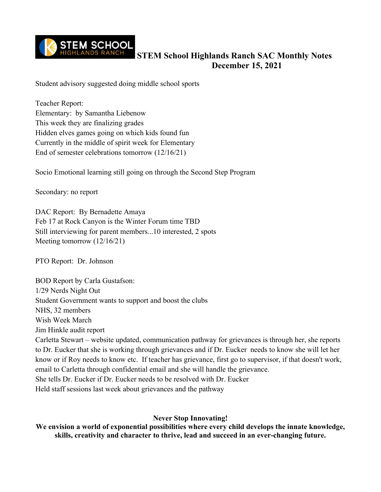

Student advisory suggested doing middle school sports

Teacher Report: Elementary: by Samantha Liebenow This week they are finalizing grades Hidden elves games going on which kids found fun Currently in the middle of spirit week for Elementary End of semester celebrations tomorrow (12/16/21)

Socio Emotional learning still going on through the Second Step Program

Secondary: no report

DAC Report: By Bernadette Amaya Feb 17 at Rock Canyon is the Winter Forum time TBD Still interviewing for parent members...10 interested, 2 spots Meeting tomorrow (12/16/21)

PTO Report: Dr. Johnson

BOD Report by Carla Gustafson: 1/29 Nerds Night Out Student Government wants to support and boost the clubs NHS, 32 members Wish Week March Jim Hinkle audit report Carletta Stewart – website updated, communication pathway for grievances is through her, she reports to Dr. Eucker that she is working through grievances and if Dr. Eucker needs to know she will let her know or if Roy needs to know etc. If teacher has grievance, first go to supervisor, if that doesn't work, email to Carletta through confidential email and she will handle the grievance. She tells Dr. Eucker if Dr. Eucker needs to be resolved with Dr. Eucker Held staff sessions last week about grievances and the pathway

#### **Never Stop Innovating!**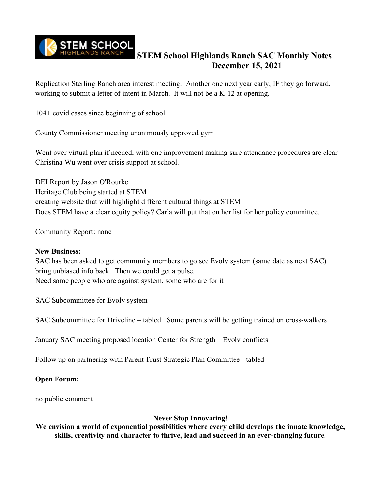

Replication Sterling Ranch area interest meeting. Another one next year early, IF they go forward, working to submit a letter of intent in March. It will not be a K-12 at opening.

104+ covid cases since beginning of school

County Commissioner meeting unanimously approved gym

Went over virtual plan if needed, with one improvement making sure attendance procedures are clear Christina Wu went over crisis support at school.

DEI Report by Jason O'Rourke Heritage Club being started at STEM creating website that will highlight different cultural things at STEM Does STEM have a clear equity policy? Carla will put that on her list for her policy committee.

Community Report: none

#### **New Business:**

SAC has been asked to get community members to go see Evolv system (same date as next SAC) bring unbiased info back. Then we could get a pulse. Need some people who are against system, some who are for it

SAC Subcommittee for Evolv system -

SAC Subcommittee for Driveline – tabled. Some parents will be getting trained on cross-walkers

January SAC meeting proposed location Center for Strength – Evolv conflicts

Follow up on partnering with Parent Trust Strategic Plan Committee - tabled

#### **Open Forum:**

no public comment

#### **Never Stop Innovating!**